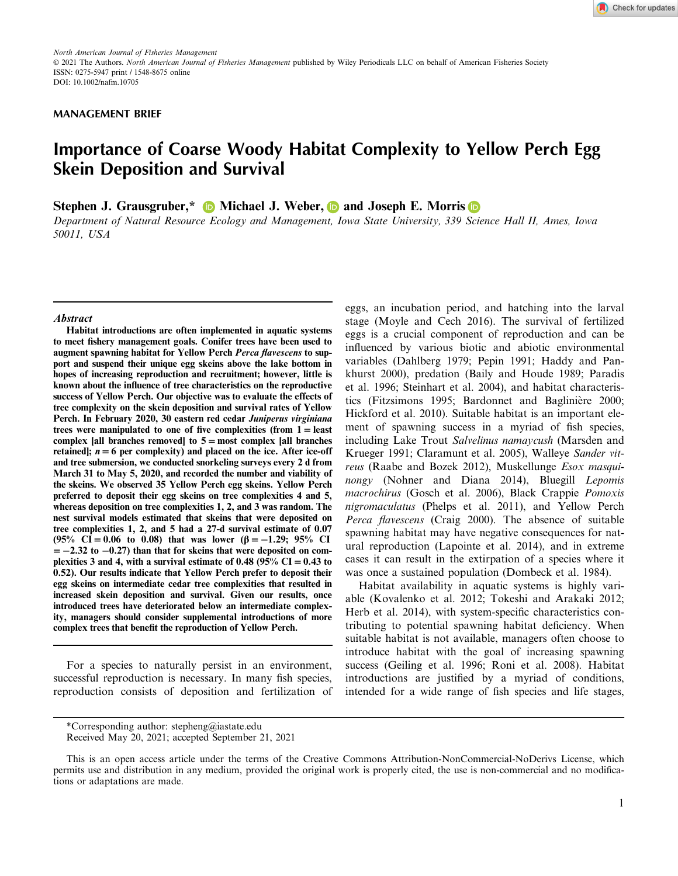*North American Journal of Fisheries Management* © 2021 The Authors. *North American Journal of Fisheries Management* published by Wiley Periodicals LLC on behalf of American Fisheries Society ISSN: 0275-5947 print / 1548-8675 online DOI: 10.1002/nafm.10705

## **MANAGEMENT BRIEF**

# **Importance of Coarse Woody Habitat Complexity to Yellow Perch Egg Skein Deposition and Survival**

**Stephen J. Grau[s](https://orcid.org/0000-0002-6910-070X)gruber,\* ID** Michael J. Weber, **D** and Joseph E. Morris **D** 

*Department of Natural Resource Ecology and Management, Iowa State University, 339 Science Hall II, Ames, Iowa 50011, USA*

#### **Abstract**

**Abstract Habitat introductions are often implemented in aquatic systems to meet fishery management goals. Conifer trees have been used to augment spawning habitat for Yellow Perch Perca flavescens to support and suspend their unique egg skeins above the lake bottom in hopes of increasing reproduction and recruitment; however, little is known about the influence of tree characteristics on the reproductive success of Yellow Perch. Our objective was to evaluate the effects of tree complexity on the skein deposition and survival rates of Yellow Perch. In February 2020, 30 eastern red cedar Juniperus virginiana trees were manipulated to one of five complexities (from 1 = least complex [all branches removed] to 5 = most complex [all branches retained**];  $n = 6$  per complexity) and placed on the ice. After ice-off **and tree submersion, we conducted snorkeling surveys every 2 d from March 31 to May 5, 2020, and recorded the number and viability of the skeins. We observed 35 Yellow Perch egg skeins. Yellow Perch preferred to deposit their egg skeins on tree complexities 4 and 5, whereas deposition on tree complexities 1, 2, and 3 was random. The nest survival models estimated that skeins that were deposited on tree complexities 1, 2, and 5 had a 27-d survival estimate of 0.07 (95% CI = 0.06 to 0.08) that was lower (β = −1.29; 95% CI = −2.32 to −0.27) than that for skeins that were deposited on complexities 3 and 4, with a survival estimate of**  $0.48$  **(** $95\%$  **CI =**  $0.43$  **to 0.52). Our results indicate that Yellow Perch prefer to deposit their egg skeins on intermediate cedar tree complexities that resulted in increased skein deposition and survival. Given our results, once introduced trees have deteriorated below an intermediate complexity, managers should consider supplemental introductions of more complex trees that benefit the reproduction of Yellow Perch.**

For a species to naturally persist in an environment, successful reproduction is necessary. In many fish species, reproduction consists of deposition and fertilization of eggs, an incubation period, and hatching into the larval stage (Moyle and Cech 2016). The survival of fertilized eggs is a crucial component of reproduction and can be influenced by various biotic and abiotic environmental variables (Dahlberg 1979; Pepin 1991; Haddy and Pankhurst 2000), predation (Baily and Houde 1989; Paradis et al. 1996; Steinhart et al. 2004), and habitat characteristics (Fitzsimons 1995; Bardonnet and Baglinière 2000; Hickford et al. 2010). Suitable habitat is an important element of spawning success in a myriad of fish species, including Lake Trout *Salvelinus namaycush* (Marsden and Krueger 1991; Claramunt et al. 2005), Walleye *Sander vitreus* (Raabe and Bozek 2012), Muskellunge *Esox masquinongy* (Nohner and Diana 2014), Bluegill *Lepomis macrochirus* (Gosch et al. 2006), Black Crappie *Pomoxis nigromaculatus* (Phelps et al. 2011), and Yellow Perch *Perca flavescens* (Craig 2000). The absence of suitable spawning habitat may have negative consequences for natural reproduction (Lapointe et al. 2014), and in extreme cases it can result in the extirpation of a species where it was once a sustained population (Dombeck et al. 1984).

Habitat availability in aquatic systems is highly variable (Kovalenko et al. 2012; Tokeshi and Arakaki 2012; Herb et al. 2014), with system-specific characteristics contributing to potential spawning habitat deficiency. When suitable habitat is not available, managers often choose to introduce habitat with the goal of increasing spawning success (Geiling et al. 1996; Roni et al. 2008). Habitat introductions are justified by a myriad of conditions, intended for a wide range of fish species and life stages,

<sup>\*</sup>Corresponding author: [stepheng@iastate.edu](mailto:)

Received May 20, 2021; accepted September 21, 2021

This is an open access article under the terms of the [Creative Commons Attribution-NonCommercial-NoDerivs](http://creativecommons.org/licenses/by-nc-nd/4.0/) License, which permits use and distribution in any medium, provided the original work is properly cited, the use is non-commercial and no modifications or adaptations are made.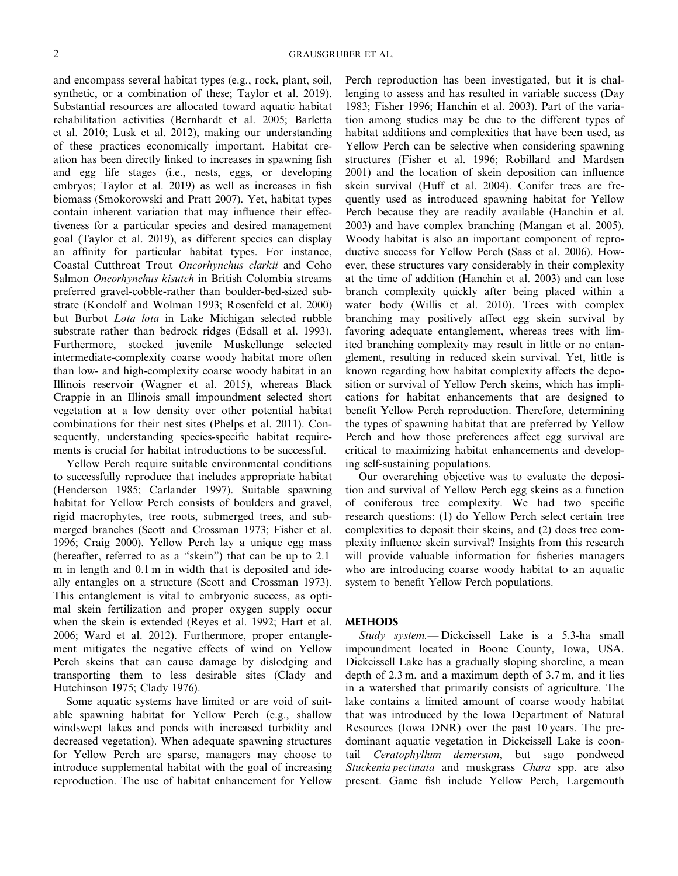and encompass several habitat types (e.g., rock, plant, soil, synthetic, or a combination of these; Taylor et al. 2019). Substantial resources are allocated toward aquatic habitat rehabilitation activities (Bernhardt et al. 2005; Barletta et al. 2010; Lusk et al. 2012), making our understanding of these practices economically important. Habitat creation has been directly linked to increases in spawning fish and egg life stages (i.e., nests, eggs, or developing embryos; Taylor et al. 2019) as well as increases in fish biomass (Smokorowski and Pratt 2007). Yet, habitat types contain inherent variation that may influence their effectiveness for a particular species and desired management goal (Taylor et al. 2019), as different species can display an affinity for particular habitat types. For instance, Coastal Cutthroat Trout *Oncorhynchus clarkii* and Coho Salmon *Oncorhynchus kisutch* in British Colombia streams preferred gravel-cobble-rather than boulder-bed-sized substrate (Kondolf and Wolman 1993; Rosenfeld et al. 2000) but Burbot *Lota lota* in Lake Michigan selected rubble substrate rather than bedrock ridges (Edsall et al. 1993). Furthermore, stocked juvenile Muskellunge selected intermediate-complexity coarse woody habitat more often than low- and high-complexity coarse woody habitat in an Illinois reservoir (Wagner et al. 2015), whereas Black Crappie in an Illinois small impoundment selected short vegetation at a low density over other potential habitat combinations for their nest sites (Phelps et al. 2011). Consequently, understanding species-specific habitat requirements is crucial for habitat introductions to be successful.

Yellow Perch require suitable environmental conditions to successfully reproduce that includes appropriate habitat (Henderson 1985; Carlander 1997). Suitable spawning habitat for Yellow Perch consists of boulders and gravel, rigid macrophytes, tree roots, submerged trees, and submerged branches (Scott and Crossman 1973; Fisher et al. 1996; Craig 2000). Yellow Perch lay a unique egg mass (hereafter, referred to as a "skein") that can be up to 2.1 m in length and  $0.1$  m in width that is deposited and ideally entangles on a structure (Scott and Crossman 1973). This entanglement is vital to embryonic success, as optimal skein fertilization and proper oxygen supply occur when the skein is extended (Reyes et al. 1992; Hart et al. 2006; Ward et al. 2012). Furthermore, proper entanglement mitigates the negative effects of wind on Yellow Perch skeins that can cause damage by dislodging and transporting them to less desirable sites (Clady and Hutchinson 1975; Clady 1976).

Some aquatic systems have limited or are void of suitable spawning habitat for Yellow Perch (e.g., shallow windswept lakes and ponds with increased turbidity and decreased vegetation). When adequate spawning structures for Yellow Perch are sparse, managers may choose to introduce supplemental habitat with the goal of increasing reproduction. The use of habitat enhancement for Yellow Perch reproduction has been investigated, but it is challenging to assess and has resulted in variable success (Day 1983; Fisher 1996; Hanchin et al. 2003). Part of the variation among studies may be due to the different types of habitat additions and complexities that have been used, as Yellow Perch can be selective when considering spawning structures (Fisher et al. 1996; Robillard and Mardsen 2001) and the location of skein deposition can influence skein survival (Huff et al. 2004). Conifer trees are frequently used as introduced spawning habitat for Yellow Perch because they are readily available (Hanchin et al. 2003) and have complex branching (Mangan et al. 2005). Woody habitat is also an important component of reproductive success for Yellow Perch (Sass et al. 2006). However, these structures vary considerably in their complexity at the time of addition (Hanchin et al. 2003) and can lose branch complexity quickly after being placed within a water body (Willis et al. 2010). Trees with complex branching may positively affect egg skein survival by favoring adequate entanglement, whereas trees with limited branching complexity may result in little or no entanglement, resulting in reduced skein survival. Yet, little is known regarding how habitat complexity affects the deposition or survival of Yellow Perch skeins, which has implications for habitat enhancements that are designed to benefit Yellow Perch reproduction. Therefore, determining the types of spawning habitat that are preferred by Yellow Perch and how those preferences affect egg survival are critical to maximizing habitat enhancements and developing self-sustaining populations.

Our overarching objective was to evaluate the deposition and survival of Yellow Perch egg skeins as a function of coniferous tree complexity. We had two specific research questions: (1) do Yellow Perch select certain tree complexities to deposit their skeins, and (2) does tree complexity influence skein survival? Insights from this research will provide valuable information for fisheries managers who are introducing coarse woody habitat to an aquatic system to benefit Yellow Perch populations.

## **METHODS**

*Study system.—* Dickcissell Lake is a 5.3-ha small impoundment located in Boone County, Iowa, USA. Dickcissell Lake has a gradually sloping shoreline, a mean depth of 2.3 m, and a maximum depth of 3.7 m, and it lies in a watershed that primarily consists of agriculture. The lake contains a limited amount of coarse woody habitat that was introduced by the Iowa Department of Natural Resources (Iowa DNR) over the past 10 years. The predominant aquatic vegetation in Dickcissell Lake is coontail *Ceratophyllum demersum*, but sago pondweed *Stuckenia pectinata* and muskgrass *Chara* spp. are also present. Game fish include Yellow Perch, Largemouth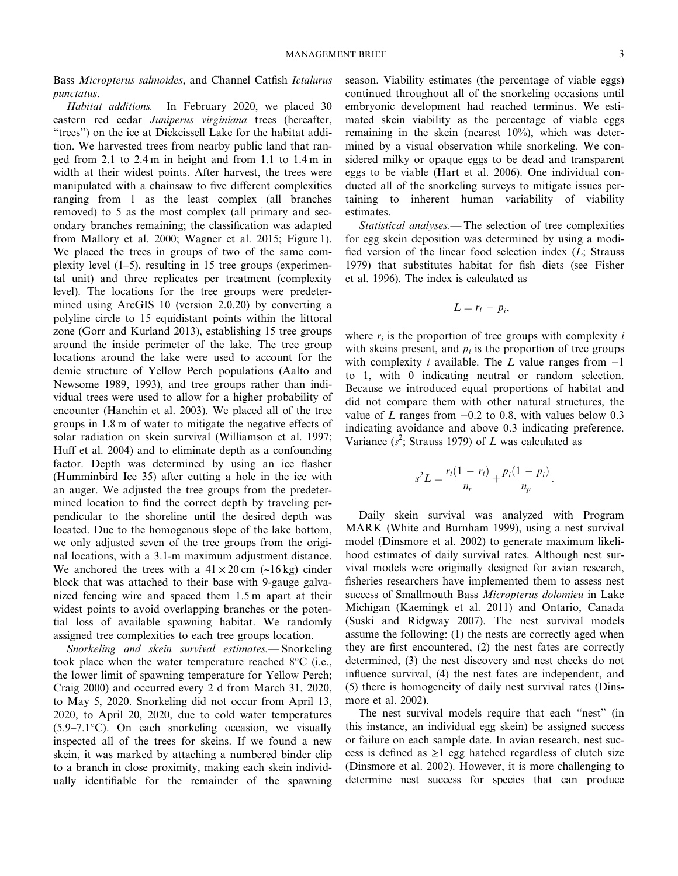Bass *Micropterus salmoides*, and Channel Catfish *Ictalurus punctatus*.

*Habitat additions.—* In February 2020, we placed 30 eastern red cedar *Juniperus virginiana* trees (hereafter, "trees") on the ice at Dickcissell Lake for the habitat addition. We harvested trees from nearby public land that ranged from 2.1 to 2.4 m in height and from 1.1 to 1.4 m in width at their widest points. After harvest, the trees were manipulated with a chainsaw to five different complexities ranging from 1 as the least complex (all branches removed) to 5 as the most complex (all primary and secondary branches remaining; the classification was adapted from Mallory et al. 2000; Wagner et al. 2015; Figure 1). We placed the trees in groups of two of the same complexity level (1–5), resulting in 15 tree groups (experimental unit) and three replicates per treatment (complexity level). The locations for the tree groups were predetermined using ArcGIS 10 (version 2.0.20) by converting a polyline circle to 15 equidistant points within the littoral zone (Gorr and Kurland 2013), establishing 15 tree groups around the inside perimeter of the lake. The tree group locations around the lake were used to account for the demic structure of Yellow Perch populations (Aalto and Newsome 1989, 1993), and tree groups rather than individual trees were used to allow for a higher probability of encounter (Hanchin et al. 2003). We placed all of the tree groups in 1.8 m of water to mitigate the negative effects of solar radiation on skein survival (Williamson et al. 1997; Huff et al. 2004) and to eliminate depth as a confounding factor. Depth was determined by using an ice flasher (Humminbird Ice 35) after cutting a hole in the ice with an auger. We adjusted the tree groups from the predetermined location to find the correct depth by traveling perpendicular to the shoreline until the desired depth was located. Due to the homogenous slope of the lake bottom, we only adjusted seven of the tree groups from the original locations, with a 3.1-m maximum adjustment distance. We anchored the trees with a  $41 \times 20$  cm (~16 kg) cinder block that was attached to their base with 9-gauge galvanized fencing wire and spaced them 1.5 m apart at their widest points to avoid overlapping branches or the potential loss of available spawning habitat. We randomly assigned tree complexities to each tree groups location.

*Snorkeling and skein survival estimates.—* Snorkeling took place when the water temperature reached 8°C (i.e., the lower limit of spawning temperature for Yellow Perch; Craig 2000) and occurred every 2 d from March 31, 2020, to May 5, 2020. Snorkeling did not occur from April 13, 2020, to April 20, 2020, due to cold water temperatures (5.9–7.1°C). On each snorkeling occasion, we visually inspected all of the trees for skeins. If we found a new skein, it was marked by attaching a numbered binder clip to a branch in close proximity, making each skein individually identifiable for the remainder of the spawning season. Viability estimates (the percentage of viable eggs) continued throughout all of the snorkeling occasions until embryonic development had reached terminus. We estimated skein viability as the percentage of viable eggs remaining in the skein (nearest 10%), which was determined by a visual observation while snorkeling. We considered milky or opaque eggs to be dead and transparent eggs to be viable (Hart et al. 2006). One individual conducted all of the snorkeling surveys to mitigate issues pertaining to inherent human variability of viability estimates.

*Statistical analyses.—* The selection of tree complexities for egg skein deposition was determined by using a modified version of the linear food selection index (*L*; Strauss 1979) that substitutes habitat for fish diets (see Fisher et al. 1996). The index is calculated as

$$
L=r_i-p_i,
$$

where  $r_i$  is the proportion of tree groups with complexity  $i$ with skeins present, and  $p_i$  is the proportion of tree groups with complexity *i* available. The *L* value ranges from −1 to 1, with 0 indicating neutral or random selection. Because we introduced equal proportions of habitat and did not compare them with other natural structures, the value of *L* ranges from −0.2 to 0.8, with values below 0.3 indicating avoidance and above 0.3 indicating preference. Variance  $(s^2)$ ; Strauss 1979) of *L* was calculated as

$$
s^{2}L = \frac{r_{i}(1-r_{i})}{n_{r}} + \frac{p_{i}(1-p_{i})}{n_{p}}.
$$

Daily skein survival was analyzed with Program MARK (White and Burnham 1999), using a nest survival model (Dinsmore et al. 2002) to generate maximum likelihood estimates of daily survival rates. Although nest survival models were originally designed for avian research, fisheries researchers have implemented them to assess nest success of Smallmouth Bass *Micropterus dolomieu* in Lake Michigan (Kaemingk et al. 2011) and Ontario, Canada (Suski and Ridgway 2007). The nest survival models assume the following: (1) the nests are correctly aged when they are first encountered, (2) the nest fates are correctly determined, (3) the nest discovery and nest checks do not influence survival, (4) the nest fates are independent, and (5) there is homogeneity of daily nest survival rates (Dinsmore et al. 2002).

The nest survival models require that each "nest" (in this instance, an individual egg skein) be assigned success or failure on each sample date. In avian research, nest success is defined as  $>1$  egg hatched regardless of clutch size (Dinsmore et al. 2002). However, it is more challenging to determine nest success for species that can produce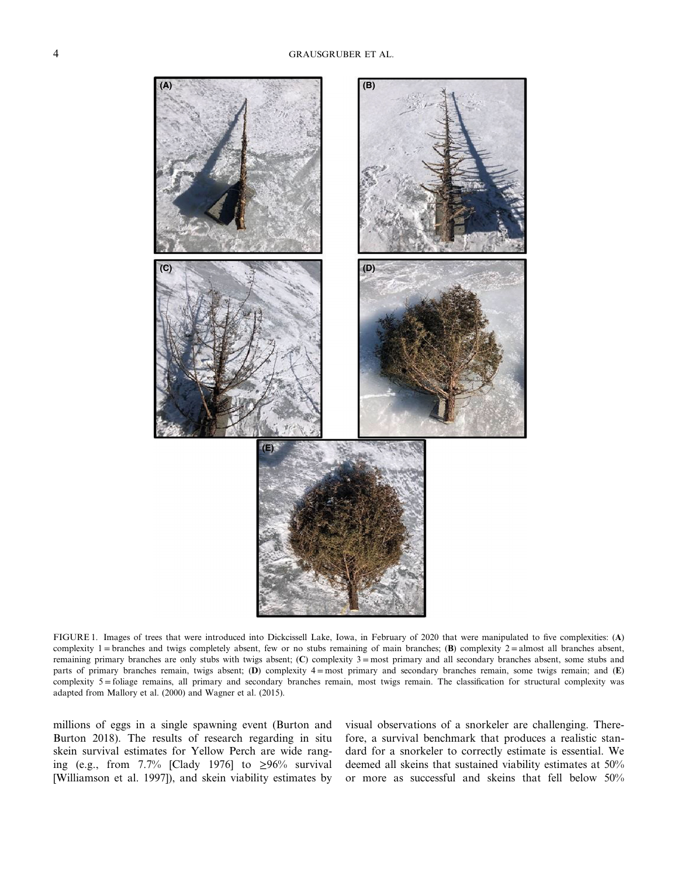

FIGURE 1. Images of trees that were introduced into Dickcissell Lake, Iowa, in February of 2020 that were manipulated to five complexities: (**A**) complexity  $1 =$  branches and twigs completely absent, few or no stubs remaining of main branches; (**B**) complexity  $2 =$  almost all branches absent, remaining primary branches are only stubs with twigs absent; (**C**) complexity 3 = most primary and all secondary branches absent, some stubs and parts of primary branches remain, twigs absent; (**D**) complexity 4 = most primary and secondary branches remain, some twigs remain; and (**E**) complexity 5 = foliage remains, all primary and secondary branches remain, most twigs remain. The classification for structural complexity was adapted from Mallory et al. (2000) and Wagner et al. (2015).

millions of eggs in a single spawning event (Burton and Burton 2018). The results of research regarding in situ skein survival estimates for Yellow Perch are wide ranging (e.g., from 7.7% [Clady 1976] to  $\geq 96\%$  survival [Williamson et al. 1997]), and skein viability estimates by visual observations of a snorkeler are challenging. Therefore, a survival benchmark that produces a realistic standard for a snorkeler to correctly estimate is essential. We deemed all skeins that sustained viability estimates at 50% or more as successful and skeins that fell below 50%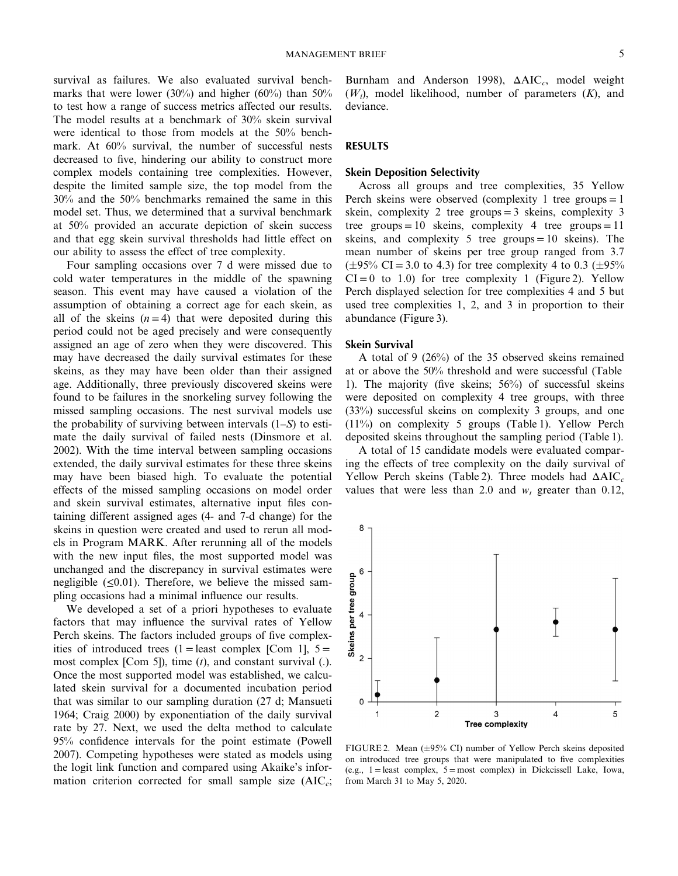survival as failures. We also evaluated survival benchmarks that were lower (30%) and higher (60%) than  $50\%$ to test how a range of success metrics affected our results. The model results at a benchmark of 30% skein survival were identical to those from models at the 50% benchmark. At 60% survival, the number of successful nests decreased to five, hindering our ability to construct more complex models containing tree complexities. However, despite the limited sample size, the top model from the 30% and the 50% benchmarks remained the same in this model set. Thus, we determined that a survival benchmark at 50% provided an accurate depiction of skein success and that egg skein survival thresholds had little effect on our ability to assess the effect of tree complexity.

Four sampling occasions over 7 d were missed due to cold water temperatures in the middle of the spawning season. This event may have caused a violation of the assumption of obtaining a correct age for each skein, as all of the skeins  $(n=4)$  that were deposited during this period could not be aged precisely and were consequently assigned an age of zero when they were discovered. This may have decreased the daily survival estimates for these skeins, as they may have been older than their assigned age. Additionally, three previously discovered skeins were found to be failures in the snorkeling survey following the missed sampling occasions. The nest survival models use the probability of surviving between intervals (1–*S*) to estimate the daily survival of failed nests (Dinsmore et al. 2002). With the time interval between sampling occasions extended, the daily survival estimates for these three skeins may have been biased high. To evaluate the potential effects of the missed sampling occasions on model order and skein survival estimates, alternative input files containing different assigned ages (4- and 7-d change) for the skeins in question were created and used to rerun all models in Program MARK. After rerunning all of the models with the new input files, the most supported model was unchanged and the discrepancy in survival estimates were negligible  $(\leq 0.01)$ . Therefore, we believe the missed sampling occasions had a minimal influence our results.

We developed a set of a priori hypotheses to evaluate factors that may influence the survival rates of Yellow Perch skeins. The factors included groups of five complexities of introduced trees  $(1 =$  least complex [Com 1],  $5 =$ most complex [Com 5]), time (*t*), and constant survival (.). Once the most supported model was established, we calculated skein survival for a documented incubation period that was similar to our sampling duration (27 d; Mansueti 1964; Craig 2000) by exponentiation of the daily survival rate by 27. Next, we used the delta method to calculate 95% confidence intervals for the point estimate (Powell 2007). Competing hypotheses were stated as models using the logit link function and compared using Akaike's information criterion corrected for small sample size (AIC<sub>c</sub>; Burnham and Anderson 1998), ΔAIC*c*, model weight (*Wi*), model likelihood, number of parameters (*K*), and deviance.

## **RESULTS**

## **Skein Deposition Selectivity**

Across all groups and tree complexities, 35 Yellow Perch skeins were observed (complexity 1 tree groups  $= 1$ ) skein, complexity 2 tree groups = 3 skeins, complexity 3 tree groups = 10 skeins, complexity 4 tree groups = 11 skeins, and complexity 5 tree groups  $= 10$  skeins). The mean number of skeins per tree group ranged from 3.7  $(\pm 95\% \text{ CI} = 3.0 \text{ to } 4.3)$  for tree complexity 4 to 0.3 ( $\pm 95\%$ )  $CI = 0$  to 1.0) for tree complexity 1 (Figure 2). Yellow Perch displayed selection for tree complexities 4 and 5 but used tree complexities 1, 2, and 3 in proportion to their abundance (Figure 3).

## **Skein Survival**

A total of 9 (26%) of the 35 observed skeins remained at or above the 50% threshold and were successful (Table 1). The majority (five skeins; 56%) of successful skeins were deposited on complexity 4 tree groups, with three (33%) successful skeins on complexity 3 groups, and one (11%) on complexity 5 groups (Table 1). Yellow Perch deposited skeins throughout the sampling period (Table 1).

A total of 15 candidate models were evaluated comparing the effects of tree complexity on the daily survival of Yellow Perch skeins (Table 2). Three models had ΔAIC<sub>*c*</sub> values that were less than 2.0 and  $w_t$  greater than 0.12,



FIGURE 2. Mean  $(\pm 95\% \text{ CI})$  number of Yellow Perch skeins deposited on introduced tree groups that were manipulated to five complexities (e.g.,  $1 =$  least complex,  $5 =$  most complex) in Dickcissell Lake, Iowa, from March 31 to May 5, 2020.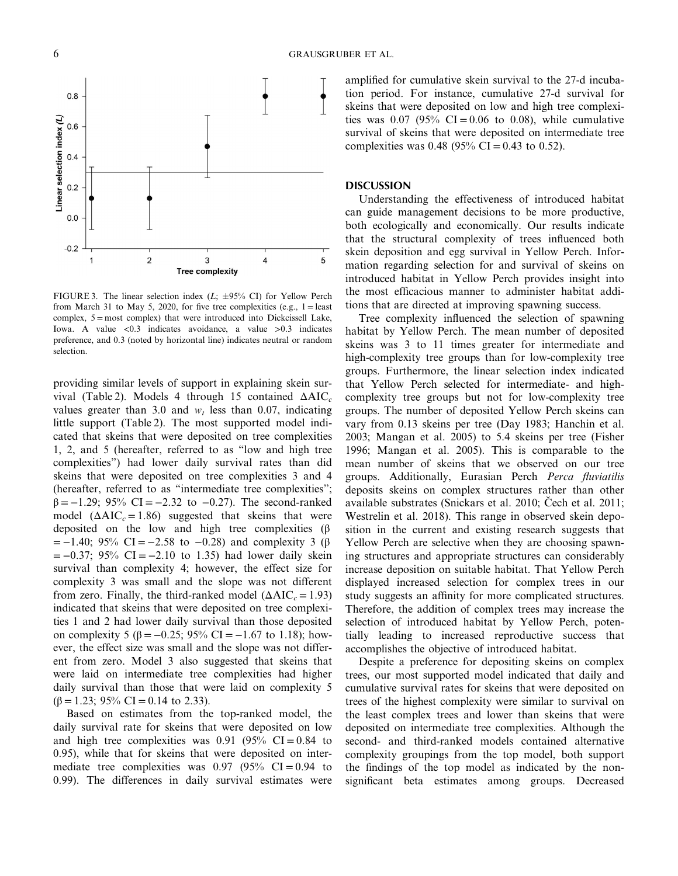

FIGURE 3. The linear selection index  $(L; \pm 95\% \text{ CI})$  for Yellow Perch from March 31 to May 5, 2020, for five tree complexities (e.g.,  $1 =$  least complex, 5 = most complex) that were introduced into Dickcissell Lake, Iowa. A value <0.3 indicates avoidance, a value >0.3 indicates preference, and 0.3 (noted by horizontal line) indicates neutral or random selection.

providing similar levels of support in explaining skein survival (Table 2). Models 4 through 15 contained ΔAIC<sub>*c*</sub> values greater than 3.0 and  $w_t$  less than 0.07, indicating little support (Table 2). The most supported model indicated that skeins that were deposited on tree complexities 1, 2, and 5 (hereafter, referred to as "low and high tree complexities") had lower daily survival rates than did skeins that were deposited on tree complexities 3 and 4 (hereafter, referred to as "intermediate tree complexities";  $\beta = -1.29$ ; 95% CI = -2.32 to -0.27). The second-ranked model  $(\Delta AIC_c = 1.86)$  suggested that skeins that were deposited on the low and high tree complexities (β  $= -1.40$ ; 95% CI = -2.58 to -0.28) and complexity 3 (β  $= -0.37$ ; 95% CI =  $-2.10$  to 1.35) had lower daily skein survival than complexity 4; however, the effect size for complexity 3 was small and the slope was not different from zero. Finally, the third-ranked model  $(\Delta AIC_c = 1.93)$ indicated that skeins that were deposited on tree complexities 1 and 2 had lower daily survival than those deposited on complexity 5 ( $\beta = -0.25$ ; 95% CI = -1.67 to 1.18); however, the effect size was small and the slope was not different from zero. Model 3 also suggested that skeins that were laid on intermediate tree complexities had higher daily survival than those that were laid on complexity 5  $(\beta = 1.23; 95\% \text{ CI} = 0.14 \text{ to } 2.33).$ 

Based on estimates from the top-ranked model, the daily survival rate for skeins that were deposited on low and high tree complexities was 0.91 (95%  $CI = 0.84$  to 0.95), while that for skeins that were deposited on intermediate tree complexities was 0.97 (95%  $CI = 0.94$  to 0.99). The differences in daily survival estimates were amplified for cumulative skein survival to the 27-d incubation period. For instance, cumulative 27-d survival for skeins that were deposited on low and high tree complexities was  $0.07$  (95% CI = 0.06 to 0.08), while cumulative survival of skeins that were deposited on intermediate tree complexities was 0.48 (95% CI = 0.43 to 0.52).

## **DISCUSSION**

Understanding the effectiveness of introduced habitat can guide management decisions to be more productive, both ecologically and economically. Our results indicate that the structural complexity of trees influenced both skein deposition and egg survival in Yellow Perch. Information regarding selection for and survival of skeins on introduced habitat in Yellow Perch provides insight into the most efficacious manner to administer habitat additions that are directed at improving spawning success.

Tree complexity influenced the selection of spawning habitat by Yellow Perch. The mean number of deposited skeins was 3 to 11 times greater for intermediate and high-complexity tree groups than for low-complexity tree groups. Furthermore, the linear selection index indicated that Yellow Perch selected for intermediate- and highcomplexity tree groups but not for low-complexity tree groups. The number of deposited Yellow Perch skeins can vary from 0.13 skeins per tree (Day 1983; Hanchin et al. 2003; Mangan et al. 2005) to 5.4 skeins per tree (Fisher 1996; Mangan et al. 2005). This is comparable to the mean number of skeins that we observed on our tree groups. Additionally, Eurasian Perch *Perca fluviatilis* deposits skeins on complex structures rather than other available substrates (Snickars et al. 2010; Cech et al. 2011; Westrelin et al. 2018). This range in observed skein deposition in the current and existing research suggests that Yellow Perch are selective when they are choosing spawning structures and appropriate structures can considerably increase deposition on suitable habitat. That Yellow Perch displayed increased selection for complex trees in our study suggests an affinity for more complicated structures. Therefore, the addition of complex trees may increase the selection of introduced habitat by Yellow Perch, potentially leading to increased reproductive success that accomplishes the objective of introduced habitat.

Despite a preference for depositing skeins on complex trees, our most supported model indicated that daily and cumulative survival rates for skeins that were deposited on trees of the highest complexity were similar to survival on the least complex trees and lower than skeins that were deposited on intermediate tree complexities. Although the second- and third-ranked models contained alternative complexity groupings from the top model, both support the findings of the top model as indicated by the nonsignificant beta estimates among groups. Decreased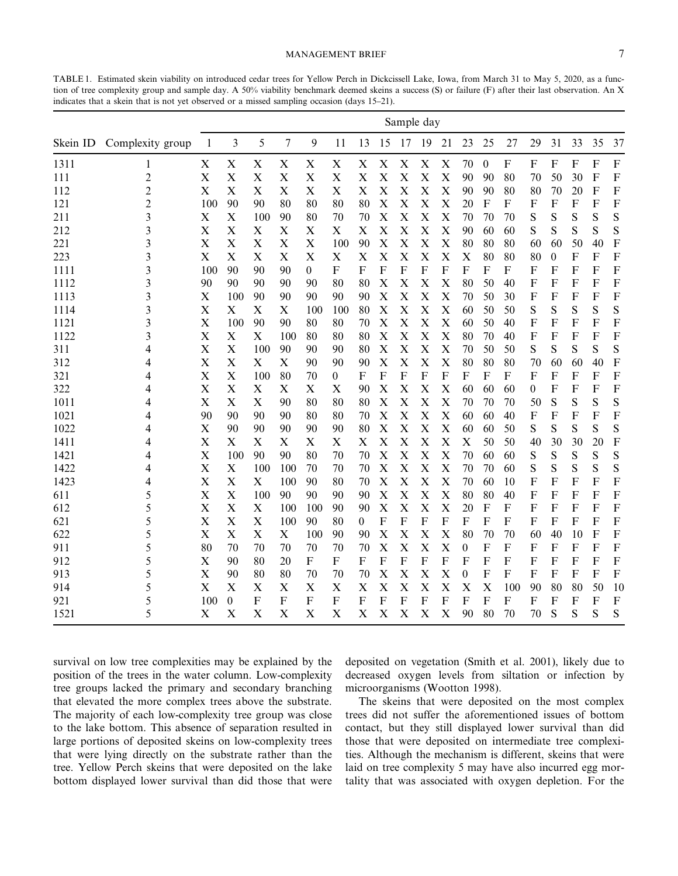TABLE 1. Estimated skein viability on introduced cedar trees for Yellow Perch in Dickcissell Lake, Iowa, from March 31 to May 5, 2020, as a function of tree complexity group and sample day. A 50% viability benchmark deemed skeins a success (S) or failure (F) after their last observation. An X indicates that a skein that is not yet observed or a missed sampling occasion (days 15–21).

| Sample day |                         |                           |                           |                           |                |                  |                           |                  |             |                |                           |                |                  |                           |                |                           |                           |                           |                           |                           |
|------------|-------------------------|---------------------------|---------------------------|---------------------------|----------------|------------------|---------------------------|------------------|-------------|----------------|---------------------------|----------------|------------------|---------------------------|----------------|---------------------------|---------------------------|---------------------------|---------------------------|---------------------------|
| Skein ID   | Complexity group        | $\mathbf{1}$              | 3                         | 5                         | $\overline{7}$ | 9                | 11                        | 13               | 15          | 17             | 19                        | 21             | 23               | 25                        | 27             | 29                        | 31                        | 33                        | 35                        | 37                        |
| 1311       | 1                       | $\boldsymbol{\mathrm{X}}$ | $\mathbf X$               | $\mathbf X$               | $\mathbf X$    | $\mathbf X$      | $\boldsymbol{\mathrm{X}}$ | $\mathbf X$      | X           | X              | $\mathbf X$               | X              | 70               | $\boldsymbol{0}$          | $\overline{F}$ | ${\bf F}$                 | $\boldsymbol{\mathrm{F}}$ | $\overline{F}$            | ${\bf F}$                 | ${\bf F}$                 |
| 111        | $\overline{\mathbf{c}}$ | $\mathbf X$               | $\mathbf X$               | $\mathbf X$               | $\mathbf X$    | X                | $\mathbf X$               | $\mathbf X$      | X           | $\mathbf X$    | $\mathbf X$               | $\mathbf X$    | 90               | 90                        | 80             | 70                        | 50                        | 30                        | F                         | $\mathbf F$               |
| 112        | $\overline{c}$          | $\mathbf X$               | $\boldsymbol{\mathrm{X}}$ | X                         | $\mathbf X$    | X                | X                         | X                | X           | X              | X                         | $\mathbf X$    | 90               | 90                        | 80             | 80                        | 70                        | 20                        | $\boldsymbol{\mathrm{F}}$ | $\overline{\mathrm{F}}$   |
| 121        | $\overline{c}$          | 100                       | 90                        | 90                        | 80             | 80               | 80                        | 80               | $\mathbf X$ | X              | X                         | $\mathbf X$    | 20               | ${\bf F}$                 | F              | $\mathbf{F}$              | F                         | $\mathbf{F}$              | F                         | ${\bf F}$                 |
| 211        | 3                       | X                         | $\mathbf X$               | 100                       | 90             | 80               | 70                        | 70               | X           | X              | X                         | $\mathbf X$    | 70               | 70                        | 70             | ${\bf S}$                 | S                         | S                         | S                         | S                         |
| 212        | 3                       | X                         | $\mathbf X$               | X                         | X              | $\mathbf X$      | $\mathbf X$               | $\mathbf X$      | X           | X              | X                         | X              | 90               | 60                        | 60             | S                         | S                         | S                         | S                         | S                         |
| 221        | 3                       | X                         | X                         | X                         | X              | X                | 100                       | 90               | X           | X              | X                         | X              | 80               | 80                        | 80             | 60                        | 60                        | 50                        | 40                        | $\overline{\mathrm{F}}$   |
| 223        | 3                       | X                         | $\mathbf X$               | X                         | $\mathbf X$    | X                | X                         | $\mathbf X$      | X           | X              | X                         | X              | X                | 80                        | 80             | 80                        | $\theta$                  | $\mathbf{F}$              | $\mathbf{F}$              | $\mathbf F$               |
| 1111       | 3                       | 100                       | 90                        | 90                        | 90             | $\boldsymbol{0}$ | $\overline{F}$            | $\overline{F}$   | F           | $\overline{F}$ | $\boldsymbol{\mathrm{F}}$ | $\overline{F}$ | $\overline{F}$   | $\mathbf{F}$              | F              | $\boldsymbol{\mathrm{F}}$ | $\mathbf F$               | $\mathbf{F}$              | $\boldsymbol{\mathrm{F}}$ | $\mathbf F$               |
| 1112       | 3                       | 90                        | 90                        | 90                        | 90             | 90               | 80                        | 80               | $\mathbf X$ | X              | X                         | $\mathbf X$    | 80               | 50                        | 40             | $\overline{F}$            | $\overline{F}$            | $\overline{F}$            | $\boldsymbol{\mathrm{F}}$ | $\mathbf F$               |
| 1113       | 3                       | $\mathbf X$               | 100                       | 90                        | 90             | 90               | 90                        | 90               | X           | X              | X                         | $\mathbf X$    | 70               | 50                        | 30             | $\mathbf F$               | $\mathbf F$               | $\mathbf{F}$              | F                         | $\mathbf F$               |
| 1114       | 3                       | X                         | $\mathbf X$               | X                         | X              | 100              | 100                       | 80               | $\mathbf X$ | $\mathbf X$    | X                         | $\mathbf X$    | 60               | 50                        | 50             | S                         | S                         | S                         | S                         | S                         |
| 1121       | 3                       | $\mathbf X$               | 100                       | 90                        | 90             | 80               | 80                        | 70               | $\mathbf X$ | $\mathbf X$    | $\mathbf X$               | $\mathbf X$    | 60               | 50                        | 40             | $\boldsymbol{\mathrm{F}}$ | F                         | $\overline{F}$            | $\mathbf{F}$              | $\overline{\mathrm{F}}$   |
| 1122       | 3                       | $\mathbf X$               | X                         | X                         | 100            | 80               | 80                        | 80               | X           | X              | X                         | X              | 80               | 70                        | 40             | $\mathbf F$               | $\mathbf{F}$              | $\mathbf{F}$              | $\mathbf{F}$              | $\boldsymbol{\mathrm{F}}$ |
| 311        | 4                       | $\mathbf X$               | $\mathbf X$               | 100                       | 90             | 90               | 90                        | 80               | $\mathbf X$ | X              | X                         | $\mathbf X$    | 70               | 50                        | 50             | S                         | S                         | S                         | S                         | S                         |
| 312        | 4                       | $\mathbf X$               | $\mathbf X$               | $\mathbf X$               | $\mathbf X$    | 90               | 90                        | 90               | X           | $\mathbf X$    | X                         | $\bf{X}$       | 80               | 80                        | 80             | 70                        | 60                        | 60                        | 40                        | $\overline{\mathrm{F}}$   |
| 321        | 4                       | X                         | X                         | 100                       | 80             | 70               | $\overline{0}$            | ${\bf F}$        | F           | $\mathbf{F}$   | F                         | $\mathbf{F}$   | F                | F                         | F              | $\mathbf{F}$              | F                         | $\mathbf{F}$              | F                         | $\overline{F}$            |
| 322        |                         | X                         | X                         | $\mathbf X$               | X              | $\mathbf X$      | X                         | 90               | X           | X              | X                         | X              | 60               | 60                        | 60             | $\boldsymbol{0}$          | $\mathbf F$               | $\boldsymbol{\mathrm{F}}$ | F                         | $\mathbf F$               |
| 1011       |                         | $\boldsymbol{\mathrm{X}}$ | $\mathbf X$               | $\boldsymbol{\mathrm{X}}$ | 90             | 80               | 80                        | 80               | X           | X              | X                         | X              | 70               | 70                        | 70             | 50                        | S                         | S                         | S                         | ${\bf S}$                 |
| 1021       |                         | 90                        | 90                        | 90                        | 90             | 80               | 80                        | 70               | $\bf{X}$    | X              | X                         | $\mathbf X$    | 60               | 60                        | 40             | $\mathbf{F}$              | $\mathbf{F}$              | $\overline{F}$            | F                         | $\overline{F}$            |
| 1022       |                         | $\boldsymbol{\mathrm{X}}$ | 90                        | 90                        | 90             | 90               | 90                        | 80               | $\mathbf X$ | $\mathbf X$    | X                         | $\mathbf X$    | 60               | 60                        | 50             | S                         | S                         | S                         | S                         | S                         |
| 1411       |                         | X                         | $\mathbf X$               | $\boldsymbol{\mathrm{X}}$ | X              | X                | $\mathbf X$               | $\mathbf X$      | X           | X              | X                         | $\mathbf X$    | X                | 50                        | 50             | 40                        | 30                        | 30                        | 20                        | $\boldsymbol{\mathrm{F}}$ |
| 1421       | 4                       | $\bf{X}$                  | 100                       | 90                        | 90             | 80               | 70                        | 70               | $\bf{X}$    | X              | X                         | X              | 70               | 60                        | 60             | S                         | S                         | S                         | S                         | ${\bf S}$                 |
| 1422       | 4                       | X                         | $\boldsymbol{\mathrm{X}}$ | 100                       | 100            | 70               | 70                        | 70               | X           | X              | X                         | $\mathbf X$    | 70               | 70                        | 60             | S                         | S                         | S                         | S                         | S                         |
| 1423       | 4                       | X                         | $\mathbf X$               | X                         | 100            | 90               | 80                        | 70               | X           | X              | X                         | $\mathbf X$    | 70               | 60                        | 10             | F                         | F                         | $\mathbf{F}$              | $\boldsymbol{\mathrm{F}}$ | $\overline{\mathrm{F}}$   |
| 611        | 5                       | $\mathbf X$               | $\mathbf X$               | 100                       | 90             | 90               | 90                        | 90               | $\bf{X}$    | X              | X                         | $\mathbf X$    | 80               | 80                        | 40             | F                         | F                         | $\mathbf{F}$              | F                         | $\overline{F}$            |
| 612        | 5                       | X                         | $\mathbf X$               | X                         | 100            | 100              | 90                        | 90               | X           | X              | X                         | X              | 20               | $\boldsymbol{\mathrm{F}}$ | F              | $\overline{F}$            | $\boldsymbol{\mathrm{F}}$ | $\mathbf{F}$              | $\boldsymbol{\mathrm{F}}$ | ${\bf F}$                 |
| 621        | 5                       | X                         | X                         | $\mathbf X$               | 100            | 90               | 80                        | $\boldsymbol{0}$ | F           | F              | F                         | $\overline{F}$ | ${\bf F}$        | F                         | F              | $\mathbf{F}$              | F                         | F                         | F                         | $\overline{\mathrm{F}}$   |
| 622        | 5                       | $\boldsymbol{\mathrm{X}}$ | $\mathbf X$               | $\mathbf X$               | $\mathbf X$    | 100              | 90                        | 90               | X           | X              | X                         | X              | 80               | 70                        | 70             | 60                        | 40                        | 10                        | F                         | $\overline{F}$            |
| 911        | 5                       | 80                        | 70                        | 70                        | 70             | 70               | 70                        | 70               | X           | X              | X                         | X              | $\boldsymbol{0}$ | ${\bf F}$                 | F              | $\boldsymbol{\mathrm{F}}$ | $\mathbf F$               | $\mathbf{F}$              | F                         | $\mathbf F$               |
| 912        | 5                       | $\boldsymbol{\mathrm{X}}$ | 90                        | 80                        | 20             | ${\bf F}$        | ${\bf F}$                 | ${\bf F}$        | F           | $\overline{F}$ | $\boldsymbol{\mathrm{F}}$ | $\overline{F}$ | F                | ${\bf F}$                 | F              | $\overline{F}$            | $\mathbf F$               | $\overline{F}$            | F                         | $\mathbf F$               |
| 913        | 5                       | $\bf{X}$                  | 90                        | 80                        | 80             | 70               | 70                        | 70               | X           | X              | $\bf{X}$                  | $\bf{X}$       | $\boldsymbol{0}$ | $\overline{F}$            | F              | F                         | F                         | $\mathbf{F}$              | F                         | $\overline{F}$            |
| 914        | 5                       | X                         | $\mathbf X$               | $\mathbf X$               | $\bf{X}$       | $\mathbf X$      | $\mathbf X$               | $\mathbf X$      | X           | X              | X                         | X              | X                | X                         | 100            | 90                        | 80                        | 80                        | 50                        | 10                        |
| 921        | 5                       | 100                       | $\boldsymbol{0}$          | ${\bf F}$                 | ${\bf F}$      | $\mathbf{F}$     | $\mathbf F$               | $\mathbf{F}$     | F           | F              | F                         | $\overline{F}$ | $\overline{F}$   | F                         | F              | $\mathbf{F}$              | F                         | $\mathbf{F}$              | F                         | $\mathbf F$               |
| 1521       | 5                       | $\boldsymbol{\mathrm{X}}$ | X                         | X                         | $\bf{X}$       | X                | X                         | X                | $\bf{X}$    | X              | X                         | $\mathbf X$    | 90               | 80                        | 70             | 70                        | S                         | S                         | S                         | S                         |

survival on low tree complexities may be explained by the position of the trees in the water column. Low-complexity tree groups lacked the primary and secondary branching that elevated the more complex trees above the substrate. The majority of each low-complexity tree group was close to the lake bottom. This absence of separation resulted in large portions of deposited skeins on low-complexity trees that were lying directly on the substrate rather than the tree. Yellow Perch skeins that were deposited on the lake bottom displayed lower survival than did those that were

deposited on vegetation (Smith et al. 2001), likely due to decreased oxygen levels from siltation or infection by microorganisms (Wootton 1998).

The skeins that were deposited on the most complex trees did not suffer the aforementioned issues of bottom contact, but they still displayed lower survival than did those that were deposited on intermediate tree complexities. Although the mechanism is different, skeins that were laid on tree complexity 5 may have also incurred egg mortality that was associated with oxygen depletion. For the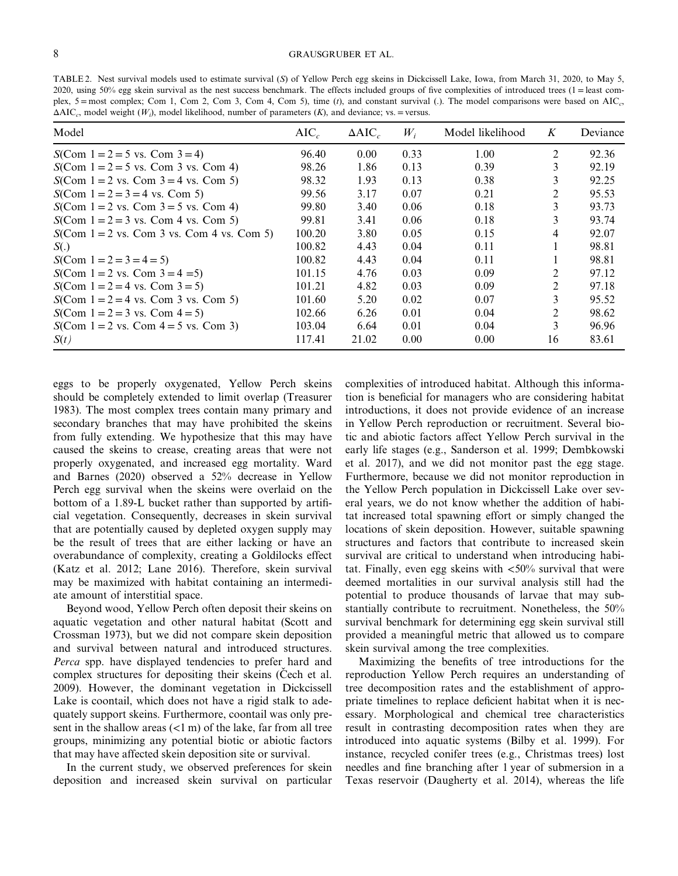TABLE 2. Nest survival models used to estimate survival (*S*) of Yellow Perch egg skeins in Dickcissell Lake, Iowa, from March 31, 2020, to May 5, 2020, using 50% egg skein survival as the nest success benchmark. The effects included groups of five complexities of introduced trees  $(1 =$  least complex, 5 = most complex; Com 1, Com 2, Com 3, Com 4, Com 5), time (*t*), and constant survival (.). The model comparisons were based on AIC*c*, ΔAIC*c*, model weight (*Wi*), model likelihood, number of parameters (*K*), and deviance; vs. = versus.

| Model                                                     | $AIC_c$ | $\Delta AIC_c$ | $W_i$ | Model likelihood | K              | Deviance |
|-----------------------------------------------------------|---------|----------------|-------|------------------|----------------|----------|
| $S(Com\ 1 = 2 = 5 \text{ vs. Com } 3 = 4)$                | 96.40   | 0.00           | 0.33  | 1.00             | 2              | 92.36    |
| $S(Com\ 1 = 2 = 5$ vs. Com 3 vs. Com 4)                   | 98.26   | 1.86           | 0.13  | 0.39             | 3              | 92.19    |
| $S(Com\ 1 = 2 \text{ vs. Com } 3 = 4 \text{ vs. Com } 5)$ | 98.32   | 1.93           | 0.13  | 0.38             | 3              | 92.25    |
| $S(Com\ 1 = 2 = 3 = 4$ vs. Com 5)                         | 99.56   | 3.17           | 0.07  | 0.21             | 2              | 95.53    |
| $S(Com\ 1 = 2 \text{ vs. Com } 3 = 5 \text{ vs. Com } 4)$ | 99.80   | 3.40           | 0.06  | 0.18             | 3              | 93.73    |
| $S(Com\ 1 = 2 = 3$ vs. Com 4 vs. Com 5)                   | 99.81   | 3.41           | 0.06  | 0.18             | 3              | 93.74    |
| $S(Com\ 1 = 2$ vs. Com 3 vs. Com 4 vs. Com 5)             | 100.20  | 3.80           | 0.05  | 0.15             | 4              | 92.07    |
| S(.)                                                      | 100.82  | 4.43           | 0.04  | 0.11             |                | 98.81    |
| $S(Com\ 1 = 2 = 3 = 4 = 5)$                               | 100.82  | 4.43           | 0.04  | 0.11             |                | 98.81    |
| $S(Com\ 1 = 2 \text{ vs. Com } 3 = 4 = 5)$                | 101.15  | 4.76           | 0.03  | 0.09             | $\mathfrak{D}$ | 97.12    |
| $S(Com\ 1 = 2 = 4 \text{ vs. Com } 3 = 5)$                | 101.21  | 4.82           | 0.03  | 0.09             | 2              | 97.18    |
| $S(Com\ 1 = 2 = 4$ vs. Com 3 vs. Com 5)                   | 101.60  | 5.20           | 0.02  | 0.07             | 3              | 95.52    |
| $S(Com\ 1 = 2 = 3 \text{ vs. Com } 4 = 5)$                | 102.66  | 6.26           | 0.01  | 0.04             | 2              | 98.62    |
| $S(Com\ 1 = 2 \text{ vs. Com } 4 = 5 \text{ vs. Com } 3)$ | 103.04  | 6.64           | 0.01  | 0.04             | 3              | 96.96    |
| S(t)                                                      | 117.41  | 21.02          | 0.00  | 0.00             | 16             | 83.61    |

eggs to be properly oxygenated, Yellow Perch skeins should be completely extended to limit overlap (Treasurer 1983). The most complex trees contain many primary and secondary branches that may have prohibited the skeins from fully extending. We hypothesize that this may have caused the skeins to crease, creating areas that were not properly oxygenated, and increased egg mortality. Ward and Barnes (2020) observed a 52% decrease in Yellow Perch egg survival when the skeins were overlaid on the bottom of a 1.89-L bucket rather than supported by artificial vegetation. Consequently, decreases in skein survival that are potentially caused by depleted oxygen supply may be the result of trees that are either lacking or have an overabundance of complexity, creating a Goldilocks effect (Katz et al. 2012; Lane 2016). Therefore, skein survival may be maximized with habitat containing an intermediate amount of interstitial space.

Beyond wood, Yellow Perch often deposit their skeins on aquatic vegetation and other natural habitat (Scott and Crossman 1973), but we did not compare skein deposition and survival between natural and introduced structures. *Perca* spp. have displayed tendencies to prefer hard and complex structures for depositing their skeins (Cech et al. 2009). However, the dominant vegetation in Dickcissell Lake is coontail, which does not have a rigid stalk to adequately support skeins. Furthermore, coontail was only present in the shallow areas  $(<1$  m) of the lake, far from all tree groups, minimizing any potential biotic or abiotic factors that may have affected skein deposition site or survival.

In the current study, we observed preferences for skein deposition and increased skein survival on particular complexities of introduced habitat. Although this information is beneficial for managers who are considering habitat introductions, it does not provide evidence of an increase in Yellow Perch reproduction or recruitment. Several biotic and abiotic factors affect Yellow Perch survival in the early life stages (e.g., Sanderson et al. 1999; Dembkowski et al. 2017), and we did not monitor past the egg stage. Furthermore, because we did not monitor reproduction in the Yellow Perch population in Dickcissell Lake over several years, we do not know whether the addition of habitat increased total spawning effort or simply changed the locations of skein deposition. However, suitable spawning structures and factors that contribute to increased skein survival are critical to understand when introducing habitat. Finally, even egg skeins with  $\langle 50\%$  survival that were deemed mortalities in our survival analysis still had the potential to produce thousands of larvae that may substantially contribute to recruitment. Nonetheless, the 50% survival benchmark for determining egg skein survival still provided a meaningful metric that allowed us to compare skein survival among the tree complexities.

Maximizing the benefits of tree introductions for the reproduction Yellow Perch requires an understanding of tree decomposition rates and the establishment of appropriate timelines to replace deficient habitat when it is necessary. Morphological and chemical tree characteristics result in contrasting decomposition rates when they are introduced into aquatic systems (Bilby et al. 1999). For instance, recycled conifer trees (e.g., Christmas trees) lost needles and fine branching after 1 year of submersion in a Texas reservoir (Daugherty et al. 2014), whereas the life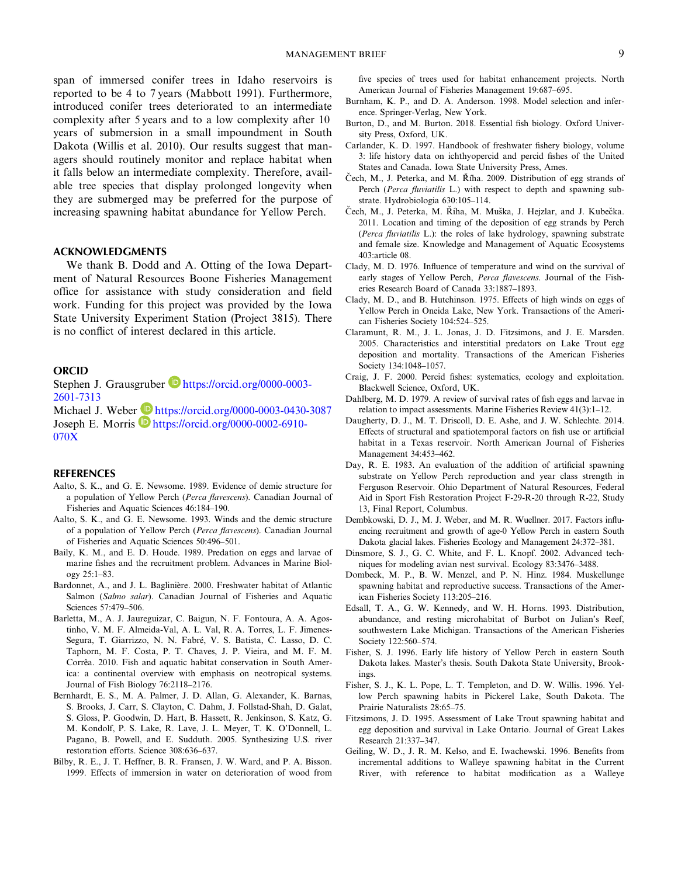span of immersed conifer trees in Idaho reservoirs is reported to be 4 to 7 years (Mabbott 1991). Furthermore, introduced conifer trees deteriorated to an intermediate complexity after 5 years and to a low complexity after 10 years of submersion in a small impoundment in South Dakota (Willis et al. 2010). Our results suggest that managers should routinely monitor and replace habitat when it falls below an intermediate complexity. Therefore, available tree species that display prolonged longevity when they are submerged may be preferred for the purpose of increasing spawning habitat abundance for Yellow Perch.

## **ACKNOWLEDGMENTS**

We thank B. Dodd and A. Otting of the Iowa Department of Natural Resources Boone Fisheries Management office for assistance with study consideration and field work. Funding for this project was provided by the Iowa State University Experiment Station (Project 3815). There is no conflict of interest declared in this article.

## **ORCID**

Stephen J. Grausgruber https://orcid.org/0000-0003-2601-7313

Michael J. Weber **https://orcid.org/0000-0003-0430-3087** Joseph E. Morris  $\blacksquare$  https://orcid.org/0000-0002-6910-070X

#### **REFERENCES**

- Aalto, S. K., and G. E. Newsome. 1989. Evidence of demic structure for a population of Yellow Perch (*Perca flavescens*). Canadian Journal of Fisheries and Aquatic Sciences 46:184–190.
- Aalto, S. K., and G. E. Newsome. 1993. Winds and the demic structure of a population of Yellow Perch (*Perca flavescens*). Canadian Journal of Fisheries and Aquatic Sciences 50:496–501.
- Baily, K. M., and E. D. Houde. 1989. Predation on eggs and larvae of marine fishes and the recruitment problem. Advances in Marine Biology 25:1–83.
- Bardonnet, A., and J. L. Baglinière. 2000. Freshwater habitat of Atlantic Salmon (*Salmo salar*). Canadian Journal of Fisheries and Aquatic Sciences 57:479–506.
- Barletta, M., A. J. Jaureguizar, C. Baigun, N. F. Fontoura, A. A. Agostinho, V. M. F. Almeida-Val, A. L. Val, R. A. Torres, L. F. Jimenes-Segura, T. Giarrizzo, N. N. Fabré, V. S. Batista, C. Lasso, D. C. Taphorn, M. F. Costa, P. T. Chaves, J. P. Vieira, and M. F. M. Corrêa. 2010. Fish and aquatic habitat conservation in South America: a continental overview with emphasis on neotropical systems. Journal of Fish Biology 76:2118–2176.
- Bernhardt, E. S., M. A. Palmer, J. D. Allan, G. Alexander, K. Barnas, S. Brooks, J. Carr, S. Clayton, C. Dahm, J. Follstad-Shah, D. Galat, S. Gloss, P. Goodwin, D. Hart, B. Hassett, R. Jenkinson, S. Katz, G. M. Kondolf, P. S. Lake, R. Lave, J. L. Meyer, T. K. O'Donnell, L. Pagano, B. Powell, and E. Sudduth. 2005. Synthesizing U.S. river restoration efforts. Science 308:636–637.
- Bilby, R. E., J. T. Heffner, B. R. Fransen, J. W. Ward, and P. A. Bisson. 1999. Effects of immersion in water on deterioration of wood from

five species of trees used for habitat enhancement projects. North American Journal of Fisheries Management 19:687–695.

- Burnham, K. P., and D. A. Anderson. 1998. Model selection and inference. Springer-Verlag, New York.
- Burton, D., and M. Burton. 2018. Essential fish biology. Oxford University Press, Oxford, UK.
- Carlander, K. D. 1997. Handbook of freshwater fishery biology, volume 3: life history data on ichthyopercid and percid fishes of the United States and Canada. Iowa State University Press, Ames.
- Čech, M., J. Peterka, and M. Říha. 2009. Distribution of egg strands of Perch (Perca fluviatilis L.) with respect to depth and spawning substrate. Hydrobiologia 630:105–114.
- Čech, M., J. Peterka, M. Říha, M. Muška, J. Hejzlar, and J. Kubečka. 2011. Location and timing of the deposition of egg strands by Perch (*Perca fluviatilis* L.): the roles of lake hydrology, spawning substrate and female size. Knowledge and Management of Aquatic Ecosystems 403:article 08.
- Clady, M. D. 1976. Influence of temperature and wind on the survival of early stages of Yellow Perch, *Perca flavescens*. Journal of the Fisheries Research Board of Canada 33:1887–1893.
- Clady, M. D., and B. Hutchinson. 1975. Effects of high winds on eggs of Yellow Perch in Oneida Lake, New York. Transactions of the American Fisheries Society 104:524–525.
- Claramunt, R. M., J. L. Jonas, J. D. Fitzsimons, and J. E. Marsden. 2005. Characteristics and interstitial predators on Lake Trout egg deposition and mortality. Transactions of the American Fisheries Society 134:1048–1057.
- Craig, J. F. 2000. Percid fishes: systematics, ecology and exploitation. Blackwell Science, Oxford, UK.
- Dahlberg, M. D. 1979. A review of survival rates of fish eggs and larvae in relation to impact assessments. Marine Fisheries Review 41(3):1–12.
- Daugherty, D. J., M. T. Driscoll, D. E. Ashe, and J. W. Schlechte. 2014. Effects of structural and spatiotemporal factors on fish use or artificial habitat in a Texas reservoir. North American Journal of Fisheries Management 34:453–462.
- Day, R. E. 1983. An evaluation of the addition of artificial spawning substrate on Yellow Perch reproduction and year class strength in Ferguson Reservoir. Ohio Department of Natural Resources, Federal Aid in Sport Fish Restoration Project F-29-R-20 through R-22, Study 13, Final Report, Columbus.
- Dembkowski, D. J., M. J. Weber, and M. R. Wuellner. 2017. Factors influencing recruitment and growth of age-0 Yellow Perch in eastern South Dakota glacial lakes. Fisheries Ecology and Management 24:372–381.
- Dinsmore, S. J., G. C. White, and F. L. Knopf. 2002. Advanced techniques for modeling avian nest survival. Ecology 83:3476–3488.
- Dombeck, M. P., B. W. Menzel, and P. N. Hinz. 1984. Muskellunge spawning habitat and reproductive success. Transactions of the American Fisheries Society 113:205–216.
- Edsall, T. A., G. W. Kennedy, and W. H. Horns. 1993. Distribution, abundance, and resting microhabitat of Burbot on Julian's Reef, southwestern Lake Michigan. Transactions of the American Fisheries Society 122:560–574.
- Fisher, S. J. 1996. Early life history of Yellow Perch in eastern South Dakota lakes. Master's thesis. South Dakota State University, Brookings.
- Fisher, S. J., K. L. Pope, L. T. Templeton, and D. W. Willis. 1996. Yellow Perch spawning habits in Pickerel Lake, South Dakota. The Prairie Naturalists 28:65–75.
- Fitzsimons, J. D. 1995. Assessment of Lake Trout spawning habitat and egg deposition and survival in Lake Ontario. Journal of Great Lakes Research 21:337–347.
- Geiling, W. D., J. R. M. Kelso, and E. Iwachewski. 1996. Benefits from incremental additions to Walleye spawning habitat in the Current River, with reference to habitat modification as a Walleye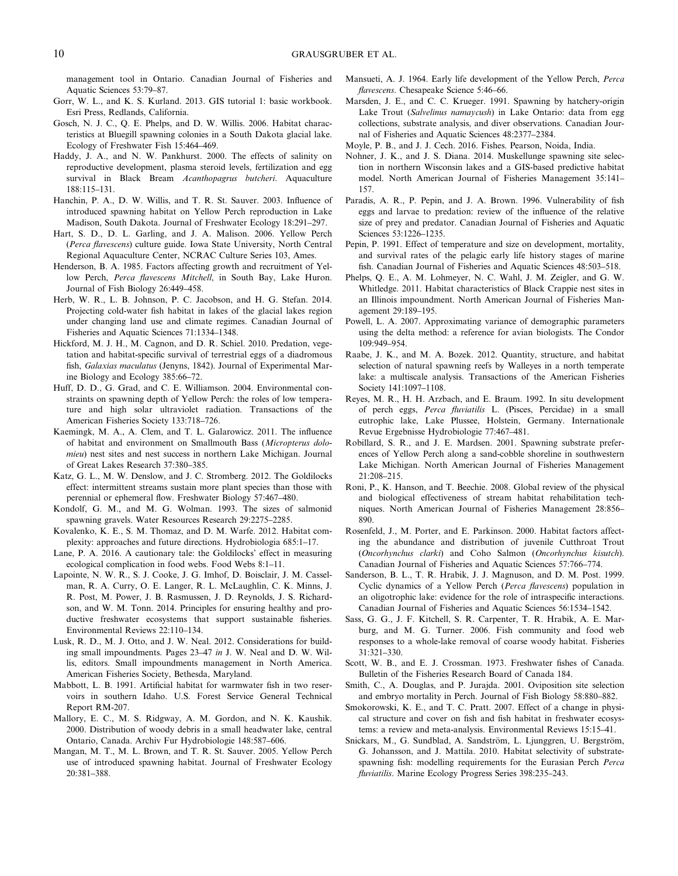management tool in Ontario. Canadian Journal of Fisheries and Aquatic Sciences 53:79–87.

- Gorr, W. L., and K. S. Kurland. 2013. GIS tutorial 1: basic workbook. Esri Press, Redlands, California.
- Gosch, N. J. C., Q. E. Phelps, and D. W. Willis. 2006. Habitat characteristics at Bluegill spawning colonies in a South Dakota glacial lake. Ecology of Freshwater Fish 15:464–469.
- Haddy, J. A., and N. W. Pankhurst. 2000. The effects of salinity on reproductive development, plasma steroid levels, fertilization and egg survival in Black Bream *Acanthopagrus butcheri*. Aquaculture 188:115–131.
- Hanchin, P. A., D. W. Willis, and T. R. St. Sauver. 2003. Influence of introduced spawning habitat on Yellow Perch reproduction in Lake Madison, South Dakota. Journal of Freshwater Ecology 18:291–297.
- Hart, S. D., D. L. Garling, and J. A. Malison. 2006. Yellow Perch (*Perca flavescens*) culture guide. Iowa State University, North Central Regional Aquaculture Center, NCRAC Culture Series 103, Ames.
- Henderson, B. A. 1985. Factors affecting growth and recruitment of Yellow Perch, Perca flavescens Mitchell, in South Bay, Lake Huron. Journal of Fish Biology 26:449–458.
- Herb, W. R., L. B. Johnson, P. C. Jacobson, and H. G. Stefan. 2014. Projecting cold-water fish habitat in lakes of the glacial lakes region under changing land use and climate regimes. Canadian Journal of Fisheries and Aquatic Sciences 71:1334–1348.
- Hickford, M. J. H., M. Cagnon, and D. R. Schiel. 2010. Predation, vegetation and habitat-specific survival of terrestrial eggs of a diadromous fish, *Galaxias maculatus* (Jenyns, 1842). Journal of Experimental Marine Biology and Ecology 385:66–72.
- Huff, D. D., G. Grad, and C. E. Williamson. 2004. Environmental constraints on spawning depth of Yellow Perch: the roles of low temperature and high solar ultraviolet radiation. Transactions of the American Fisheries Society 133:718–726.
- Kaemingk, M. A., A. Clem, and T. L. Galarowicz. 2011. The influence of habitat and environment on Smallmouth Bass (*Micropterus dolomieu*) nest sites and nest success in northern Lake Michigan. Journal of Great Lakes Research 37:380–385.
- Katz, G. L., M. W. Denslow, and J. C. Stromberg. 2012. The Goldilocks effect: intermittent streams sustain more plant species than those with perennial or ephemeral flow. Freshwater Biology 57:467–480.
- Kondolf, G. M., and M. G. Wolman. 1993. The sizes of salmonid spawning gravels. Water Resources Research 29:2275–2285.
- Kovalenko, K. E., S. M. Thomaz, and D. M. Warfe. 2012. Habitat complexity: approaches and future directions. Hydrobiologia 685:1–17.
- Lane, P. A. 2016. A cautionary tale: the Goldilocks' effect in measuring ecological complication in food webs. Food Webs 8:1–11.
- Lapointe, N. W. R., S. J. Cooke, J. G. Imhof, D. Boisclair, J. M. Casselman, R. A. Curry, O. E. Langer, R. L. McLaughlin, C. K. Minns, J. R. Post, M. Power, J. B. Rasmussen, J. D. Reynolds, J. S. Richardson, and W. M. Tonn. 2014. Principles for ensuring healthy and productive freshwater ecosystems that support sustainable fisheries. Environmental Reviews 22:110–134.
- Lusk, R. D., M. J. Otto, and J. W. Neal. 2012. Considerations for building small impoundments. Pages 23–47 *in* J. W. Neal and D. W. Willis, editors. Small impoundments management in North America. American Fisheries Society, Bethesda, Maryland.
- Mabbott, L. B. 1991. Artificial habitat for warmwater fish in two reservoirs in southern Idaho. U.S. Forest Service General Technical Report RM-207.
- Mallory, E. C., M. S. Ridgway, A. M. Gordon, and N. K. Kaushik. 2000. Distribution of woody debris in a small headwater lake, central Ontario, Canada. Archiv Fur Hydrobiologie 148:587–606.
- Mangan, M. T., M. L. Brown, and T. R. St. Sauver. 2005. Yellow Perch use of introduced spawning habitat. Journal of Freshwater Ecology 20:381–388.
- Mansueti, A. J. 1964. Early life development of the Yellow Perch, *Perca flavescens*. Chesapeake Science 5:46–66.
- Marsden, J. E., and C. C. Krueger. 1991. Spawning by hatchery-origin Lake Trout (*Salvelinus namaycush*) in Lake Ontario: data from egg collections, substrate analysis, and diver observations. Canadian Journal of Fisheries and Aquatic Sciences 48:2377–2384.
- Moyle, P. B., and J. J. Cech. 2016. Fishes. Pearson, Noida, India.
- Nohner, J. K., and J. S. Diana. 2014. Muskellunge spawning site selection in northern Wisconsin lakes and a GIS-based predictive habitat model. North American Journal of Fisheries Management 35:141– 157.
- Paradis, A. R., P. Pepin, and J. A. Brown. 1996. Vulnerability of fish eggs and larvae to predation: review of the influence of the relative size of prey and predator. Canadian Journal of Fisheries and Aquatic Sciences 53:1226–1235.
- Pepin, P. 1991. Effect of temperature and size on development, mortality, and survival rates of the pelagic early life history stages of marine fish. Canadian Journal of Fisheries and Aquatic Sciences 48:503–518.
- Phelps, Q. E., A. M. Lohmeyer, N. C. Wahl, J. M. Zeigler, and G. W. Whitledge. 2011. Habitat characteristics of Black Crappie nest sites in an Illinois impoundment. North American Journal of Fisheries Management 29:189–195.
- Powell, L. A. 2007. Approximating variance of demographic parameters using the delta method: a reference for avian biologists. The Condor 109:949–954.
- Raabe, J. K., and M. A. Bozek. 2012. Quantity, structure, and habitat selection of natural spawning reefs by Walleyes in a north temperate lake: a multiscale analysis. Transactions of the American Fisheries Society 141:1097–1108.
- Reyes, M. R., H. H. Arzbach, and E. Braum. 1992. In situ development of perch eggs, *Perca fluviatilis* L. (Pisces, Percidae) in a small eutrophic lake, Lake Plussee, Holstein, Germany. Internationale Revue Ergebnisse Hydrobiologie 77:467–481.
- Robillard, S. R., and J. E. Mardsen. 2001. Spawning substrate preferences of Yellow Perch along a sand-cobble shoreline in southwestern Lake Michigan. North American Journal of Fisheries Management 21:208–215.
- Roni, P., K. Hanson, and T. Beechie. 2008. Global review of the physical and biological effectiveness of stream habitat rehabilitation techniques. North American Journal of Fisheries Management 28:856– 890.
- Rosenfeld, J., M. Porter, and E. Parkinson. 2000. Habitat factors affecting the abundance and distribution of juvenile Cutthroat Trout (*Oncorhynchus clarki*) and Coho Salmon (*Oncorhynchus kisutch*). Canadian Journal of Fisheries and Aquatic Sciences 57:766–774.
- Sanderson, B. L., T. R. Hrabik, J. J. Magnuson, and D. M. Post. 1999. Cyclic dynamics of a Yellow Perch (*Perca flavescens*) population in an oligotrophic lake: evidence for the role of intraspecific interactions. Canadian Journal of Fisheries and Aquatic Sciences 56:1534–1542.
- Sass, G. G., J. F. Kitchell, S. R. Carpenter, T. R. Hrabik, A. E. Marburg, and M. G. Turner. 2006. Fish community and food web responses to a whole-lake removal of coarse woody habitat. Fisheries 31:321–330.
- Scott, W. B., and E. J. Crossman. 1973. Freshwater fishes of Canada. Bulletin of the Fisheries Research Board of Canada 184.
- Smith, C., A. Douglas, and P. Jurajda. 2001. Oviposition site selection and embryo mortality in Perch. Journal of Fish Biology 58:880–882.
- Smokorowski, K. E., and T. C. Pratt. 2007. Effect of a change in physical structure and cover on fish and fish habitat in freshwater ecosystems: a review and meta-analysis. Environmental Reviews 15:15–41.
- Snickars, M., G. Sundblad, A. Sandström, L. Ljunggren, U. Bergström, G. Johansson, and J. Mattila. 2010. Habitat selectivity of substratespawning fish: modelling requirements for the Eurasian Perch *Perca fluviatilis*. Marine Ecology Progress Series 398:235–243.